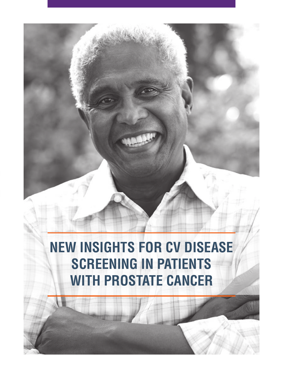# **NEW INSIGHTS FOR CV DISEASE SCREENING IN PATIENTS WITH PROSTATE CANCER**

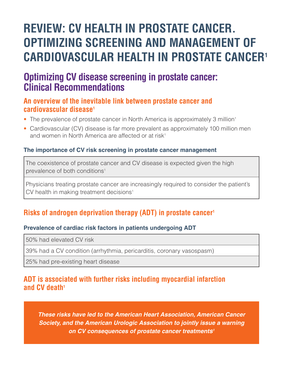# **REVIEW: CV HEALTH IN PROSTATE CANCER. OPTIMIZING SCREENING AND MANAGEMENT OF CARDIOVASCULAR HEALTH IN PROSTATE CANCER1**

## **Optimizing CV disease screening in prostate cancer: Clinical Recommendations**

#### **An overview of the inevitable link between prostate cancer and cardiovascular disease1**

- The prevalence of prostate cancer in North America is approximately 3 million<sup>1</sup>
- Cardiovascular (CV) disease is far more prevalent as approximately 100 million men and women in North America are affected or at risk<sup>1</sup>

#### **The importance of CV risk screening in prostate cancer management**

The coexistence of prostate cancer and CV disease is expected given the high prevalence of both conditions<sup>1</sup>

Physicians treating prostate cancer are increasingly required to consider the patient's CV health in making treatment decisions<sup>1</sup>

### **Risks of androgen deprivation therapy (ADT) in prostate cancer1**

#### **Prevalence of cardiac risk factors in patients undergoing ADT**

50% had elevated CV risk

39% had a CV condition (arrhythmia, pericarditis, coronary vasospasm)

25% had pre-existing heart disease

### **ADT is associated with further risks including myocardial infarction and CV death1**

*These risks have led to the American Heart Association, American Cancer Society, and the American Urologic Association to jointly issue a warning on CV consequences of prostate cancer treatments1*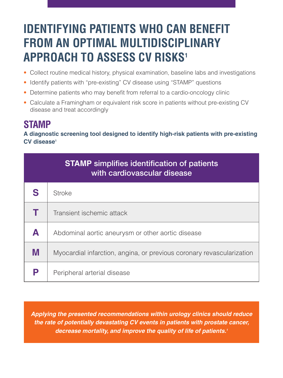# **IDENTIFYING PATIENTS WHO CAN BENEFIT FROM AN OPTIMAL MULTIDISCIPLINARY APPROACH TO ASSESS CV RISKS1**

- Collect routine medical history, physical examination, baseline labs and investigations
- Identify patients with "pre-existing" CV disease using "STAMP" questions
- Determine patients who may benefit from referral to a cardio-oncology clinic
- Calculate a Framingham or equivalent risk score in patients without pre-existing CV disease and treat accordingly

### **STAMP**

**A diagnostic screening tool designed to identify high-risk patients with pre-existing CV disease1**

| <b>STAMP</b> simplifies identification of patients<br>with cardiovascular disease |                                                                       |  |
|-----------------------------------------------------------------------------------|-----------------------------------------------------------------------|--|
| S                                                                                 | Stroke                                                                |  |
|                                                                                   | Transient ischemic attack                                             |  |
| A                                                                                 | Abdominal aortic aneurysm or other aortic disease                     |  |
| M                                                                                 | Myocardial infarction, angina, or previous coronary revascularization |  |
| Ρ                                                                                 | Peripheral arterial disease                                           |  |

*Applying the presented recommendations within urology clinics should reduce the rate of potentially devastating CV events in patients with prostate cancer, decrease mortality, and improve the quality of life of patients.1*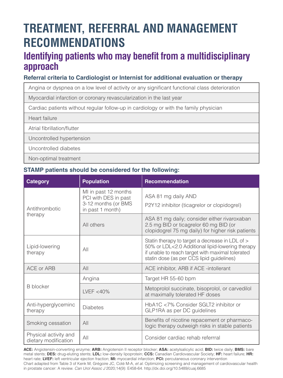# **TREATMENT, REFERRAL AND MANAGEMENT RECOMMENDATIONS**

## **Identifying patients who may benefit from a multidisciplinary approach**

#### **Referral criteria to Cardiologist or Internist for additional evaluation or therapy**

Angina or dyspnea on a low level of activity or any significant functional class deterioration

Myocardial infarction or coronary revascularization in the last year

Cardiac patients without regular follow-up in cardiology or with the family physician

Heart failure

Atrial fibrillation/flutter

Uncontrolled hypertension

Uncontrolled diabetes

Non-optimal treatment

#### **STAMP patients should be considered for the following:**

| Category                                      | <b>Population</b>                                                                       | Recommendation                                                                                                                                                                                       |
|-----------------------------------------------|-----------------------------------------------------------------------------------------|------------------------------------------------------------------------------------------------------------------------------------------------------------------------------------------------------|
| Antithrombotic                                | MI in past 12 months<br>PCI with DES in past<br>3-12 months (or BMS<br>in past 1 month) | ASA 81 mg daily AND<br>P2Y12 inhibitor (ticagrelor or clopidogrel)                                                                                                                                   |
| therapy                                       | All others                                                                              | ASA 81 mg daily; consider either rivaroxaban<br>2.5 mg BID or ticagrelor 60 mg BID (or<br>clopidogrel 75 mg daily) for higher risk patients                                                          |
| Lipid-lowering<br>therapy                     | AII                                                                                     | Statin therapy to target a decrease in LDL of ><br>50% or LDL<2.0 Additional lipid-lowering therapy<br>if unable to reach target with maximal tolerated<br>statin dose (as per CCS lipid guidelines) |
| ACE or ARB                                    | All                                                                                     | ACE inhibitor, ARB if ACE -intollerant                                                                                                                                                               |
|                                               | Angina                                                                                  | Target HR 55-60 bpm                                                                                                                                                                                  |
| <b>B</b> blocker                              | I VFF $<$ 40%                                                                           | Metoprolol succinate, bisoprolol, or carvedilol<br>at maximally tolerated HF doses                                                                                                                   |
| Anti-hyperglyceminc<br>therapy                | <b>Diabetes</b>                                                                         | HbA1C <7% Consider SGLT2 inhibitor or<br>GLP1RA as per DC guidelines                                                                                                                                 |
| Smoking cessation                             | AlI                                                                                     | Benefits of nicotine repacement or pharmaco-<br>logic therapy outweigh risks in stable patients                                                                                                      |
| Physical activity and<br>dietary modification | AlI                                                                                     | Consider cardiac rehab referrral                                                                                                                                                                     |

**ACE:** Angiotensin-converting enzyme; **ARB:** Angiotensin II receptor blocker; **ASA:** acetylsalicylic acid; **BID:** twice daily; **BMS:** bare metal stents; **DES:** drug-eluting stents; **LDL:** low-density lipoprotein; **CCS:** Canadian Cardiovascular Society; **HF:** heart failure; **HR:** heart rate; **LVEF:** left ventricular ejection fraction; **MI:** myocardial infarction; **PCI:** percutaneous coronary intervention Chart adapted from Table 3 of Kenk M, Grégoire JC, Coté M-A, *et al*. Optimizing screening and management of cardiovascular health in prostate cancer: A review. *Can Urol Assoc J* 2020;14(9): E458-64. http://dx.doi.org/10.5489/cuaj.6685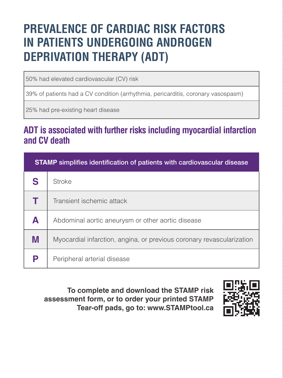# **PREVALENCE OF CARDIAC RISK FACTORS IN PATIENTS UNDERGOING ANDROGEN DEPRIVATION THERAPY (ADT)**

50% had elevated cardiovascular (CV) risk

39% of patients had a CV condition (arrhythmia, pericarditis, coronary vasospasm)

25% had pre-existing heart disease

## **ADT is associated with further risks including myocardial infarction and CV death**

| <b>STAMP</b> simplifies identification of patients with cardiovascular disease |                                                                       |  |
|--------------------------------------------------------------------------------|-----------------------------------------------------------------------|--|
| S                                                                              | Stroke                                                                |  |
|                                                                                | Transient ischemic attack                                             |  |
| A                                                                              | Abdominal aortic aneurysm or other aortic disease                     |  |
| M                                                                              | Myocardial infarction, angina, or previous coronary revascularization |  |
| Р                                                                              | Peripheral arterial disease                                           |  |

**To complete and download the STAMP risk assessment form, or to order your printed STAMP Tear-off pads, go to: www.STAMPtool.ca**